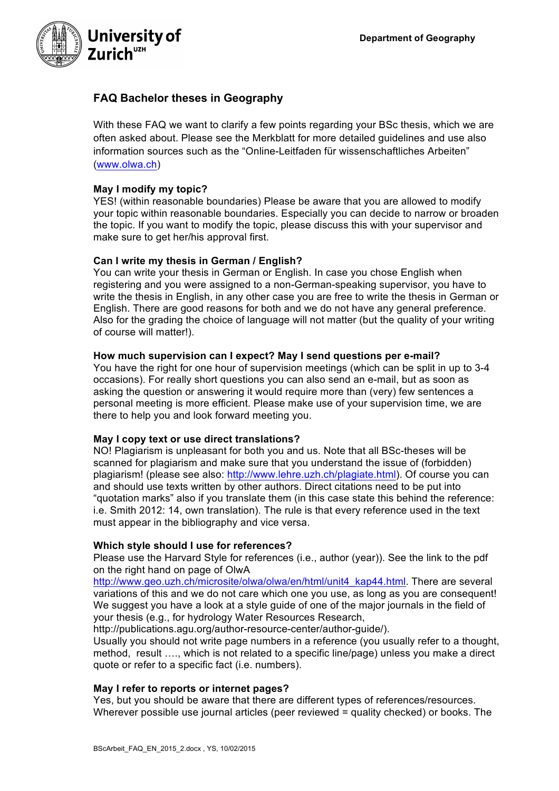

# **FAQ Bachelor theses in Geography**

With these FAQ we want to clarify a few points regarding your BSc thesis, which we are often asked about. Please see the Merkblatt for more detailed guidelines and use also information sources such as the "Online-Leitfaden für wissenschaftliches Arbeiten" (www.olwa.ch)

# **May I modify my topic?**

YES! (within reasonable boundaries) Please be aware that you are allowed to modify your topic within reasonable boundaries. Especially you can decide to narrow or broaden the topic. If you want to modify the topic, please discuss this with your supervisor and make sure to get her/his approval first.

## **Can I write my thesis in German / English?**

You can write your thesis in German or English. In case you chose English when registering and you were assigned to a non-German-speaking supervisor, you have to write the thesis in English, in any other case you are free to write the thesis in German or English. There are good reasons for both and we do not have any general preference. Also for the grading the choice of language will not matter (but the quality of your writing of course will matter!).

## **How much supervision can I expect? May I send questions per e-mail?**

You have the right for one hour of supervision meetings (which can be split in up to 3-4 occasions). For really short questions you can also send an e-mail, but as soon as asking the question or answering it would require more than (very) few sentences a personal meeting is more efficient. Please make use of your supervision time, we are there to help you and look forward meeting you.

## **May I copy text or use direct translations?**

NO! Plagiarism is unpleasant for both you and us. Note that all BSc-theses will be scanned for plagiarism and make sure that you understand the issue of (forbidden) plagiarism! (please see also: http://www.lehre.uzh.ch/plagiate.html). Of course you can and should use texts written by other authors. Direct citations need to be put into "quotation marks" also if you translate them (in this case state this behind the reference: i.e. Smith 2012: 14, own translation). The rule is that every reference used in the text must appear in the bibliography and vice versa.

## **Which style should I use for references?**

Please use the Harvard Style for references (i.e., author (year)). See the link to the pdf on the right hand on page of OlwA

http://www.geo.uzh.ch/microsite/olwa/olwa/en/html/unit4\_kap44.html. There are several variations of this and we do not care which one you use, as long as you are consequent! We suggest you have a look at a style guide of one of the major journals in the field of your thesis (e.g., for hydrology Water Resources Research,

http://publications.agu.org/author-resource-center/author-guide/).

Usually you should not write page numbers in a reference (you usually refer to a thought, method, result …., which is not related to a specific line/page) unless you make a direct quote or refer to a specific fact (i.e. numbers).

## **May I refer to reports or internet pages?**

Yes, but you should be aware that there are different types of references/resources. Wherever possible use journal articles (peer reviewed = quality checked) or books. The